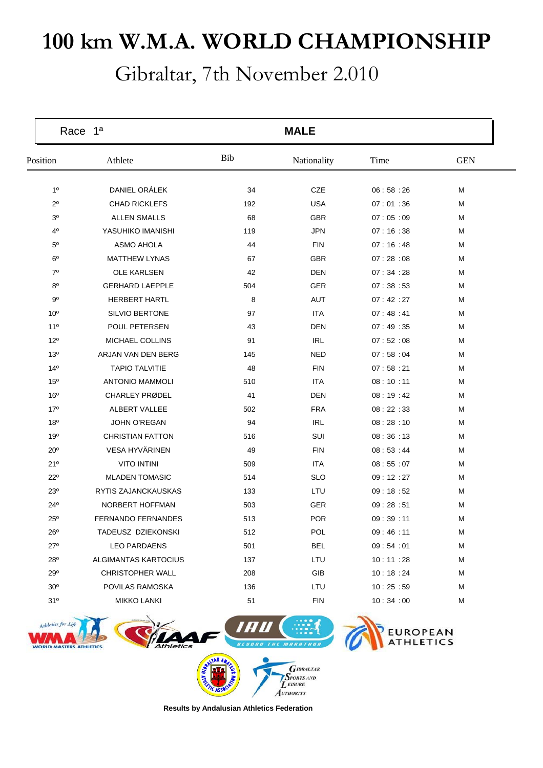## **100 km W.M.A. WORLD CHAMPIONSHIP**

Gibraltar, 7th November 2.010

| Bib<br>Athlete<br>Time<br><b>GEN</b><br>Position<br>Nationality<br>DANIEL ORÁLEK<br>1 <sup>0</sup><br>34<br><b>CZE</b><br>06:58:26<br>M<br><b>CHAD RICKLEFS</b><br>$2^{\circ}$<br><b>USA</b><br>M<br>192<br>07:01:36<br><b>ALLEN SMALLS</b><br>07:05:09<br>30<br>68<br><b>GBR</b><br>M<br>$4^{\circ}$<br>YASUHIKO IMANISHI<br>07:16:38<br>119<br><b>JPN</b><br>M<br>$5^{\circ}$<br><b>ASMO AHOLA</b><br>44<br><b>FIN</b><br>07:16:48<br>M<br>$6^{\circ}$<br><b>MATTHEW LYNAS</b><br>67<br><b>GBR</b><br>07:28:08<br>M<br>$7^\circ$<br><b>OLE KARLSEN</b><br>42<br>DEN<br>07:34:28<br>M<br>$8^{\circ}$<br><b>GERHARD LAEPPLE</b><br>504<br>GER<br>07:38:53<br>M<br><b>HERBERT HARTL</b><br>8<br>90<br>AUT<br>07:42:27<br>M<br>10 <sup>o</sup><br><b>SILVIO BERTONE</b><br>M<br>97<br><b>ITA</b><br>07:48:41<br>POUL PETERSEN<br>07:49:35<br>$11^{\circ}$<br>43<br>DEN<br>M<br><b>IRL</b><br>$12^{\circ}$<br><b>MICHAEL COLLINS</b><br>91<br>07:52:08<br>M<br>ARJAN VAN DEN BERG<br>13 <sup>o</sup><br>145<br>NED<br>07:58:04<br>M<br>14 <sup>°</sup><br><b>TAPIO TALVITIE</b><br>M<br>48<br><b>FIN</b><br>07:58:21<br><b>ANTONIO MAMMOLI</b><br><b>ITA</b><br>08:10:11<br>15 <sup>o</sup><br>510<br>M<br>16 <sup>o</sup><br><b>CHARLEY PRØDEL</b><br>41<br>DEN<br>08:19:42<br>M<br>17 <sup>°</sup><br>ALBERT VALLEE<br>502<br><b>FRA</b><br>08:22:33<br>M<br>18 <sup>o</sup><br><b>JOHN O'REGAN</b><br><b>IRL</b><br>08:28:10<br>M<br>94<br><b>CHRISTIAN FATTON</b><br>SUI<br>19°<br>516<br>08:36:13<br>M<br>VESA HYVÄRINEN<br>49<br>$20^{\circ}$<br>FIN<br>08:53:44<br>M<br><b>VITO INTINI</b><br><b>ITA</b><br>21°<br>509<br>08:55:07<br>M<br><b>MLADEN TOMASIC</b><br><b>SLO</b><br>M<br>$22^{\circ}$<br>514<br>09:12:27<br>RYTIS ZAJANCKAUSKAS<br>09:18:52<br>$23^{\circ}$<br>133<br>LTU<br>M<br>$24^{\circ}$<br>NORBERT HOFFMAN<br>503<br>GER<br>09:28:51<br>M<br><b>POR</b><br>$25^{\circ}$<br><b>FERNANDO FERNANDES</b><br>513<br>09:39:11<br>M<br>TADEUSZ DZIEKONSKI<br>512<br>POL<br>09:46:11<br>M<br>$26^{\circ}$<br>$27^\circ$<br><b>LEO PARDAENS</b><br>501<br><b>BEL</b><br>09:54:01<br>M | <b>MALE</b> |  |  |  |
|-------------------------------------------------------------------------------------------------------------------------------------------------------------------------------------------------------------------------------------------------------------------------------------------------------------------------------------------------------------------------------------------------------------------------------------------------------------------------------------------------------------------------------------------------------------------------------------------------------------------------------------------------------------------------------------------------------------------------------------------------------------------------------------------------------------------------------------------------------------------------------------------------------------------------------------------------------------------------------------------------------------------------------------------------------------------------------------------------------------------------------------------------------------------------------------------------------------------------------------------------------------------------------------------------------------------------------------------------------------------------------------------------------------------------------------------------------------------------------------------------------------------------------------------------------------------------------------------------------------------------------------------------------------------------------------------------------------------------------------------------------------------------------------------------------------------------------------------------------------------------------------------------------------------------------------------------------------------------------------------------------------------------------------------------------------------------------------------------------|-------------|--|--|--|
|                                                                                                                                                                                                                                                                                                                                                                                                                                                                                                                                                                                                                                                                                                                                                                                                                                                                                                                                                                                                                                                                                                                                                                                                                                                                                                                                                                                                                                                                                                                                                                                                                                                                                                                                                                                                                                                                                                                                                                                                                                                                                                       |             |  |  |  |
|                                                                                                                                                                                                                                                                                                                                                                                                                                                                                                                                                                                                                                                                                                                                                                                                                                                                                                                                                                                                                                                                                                                                                                                                                                                                                                                                                                                                                                                                                                                                                                                                                                                                                                                                                                                                                                                                                                                                                                                                                                                                                                       |             |  |  |  |
|                                                                                                                                                                                                                                                                                                                                                                                                                                                                                                                                                                                                                                                                                                                                                                                                                                                                                                                                                                                                                                                                                                                                                                                                                                                                                                                                                                                                                                                                                                                                                                                                                                                                                                                                                                                                                                                                                                                                                                                                                                                                                                       |             |  |  |  |
|                                                                                                                                                                                                                                                                                                                                                                                                                                                                                                                                                                                                                                                                                                                                                                                                                                                                                                                                                                                                                                                                                                                                                                                                                                                                                                                                                                                                                                                                                                                                                                                                                                                                                                                                                                                                                                                                                                                                                                                                                                                                                                       |             |  |  |  |
|                                                                                                                                                                                                                                                                                                                                                                                                                                                                                                                                                                                                                                                                                                                                                                                                                                                                                                                                                                                                                                                                                                                                                                                                                                                                                                                                                                                                                                                                                                                                                                                                                                                                                                                                                                                                                                                                                                                                                                                                                                                                                                       |             |  |  |  |
|                                                                                                                                                                                                                                                                                                                                                                                                                                                                                                                                                                                                                                                                                                                                                                                                                                                                                                                                                                                                                                                                                                                                                                                                                                                                                                                                                                                                                                                                                                                                                                                                                                                                                                                                                                                                                                                                                                                                                                                                                                                                                                       |             |  |  |  |
|                                                                                                                                                                                                                                                                                                                                                                                                                                                                                                                                                                                                                                                                                                                                                                                                                                                                                                                                                                                                                                                                                                                                                                                                                                                                                                                                                                                                                                                                                                                                                                                                                                                                                                                                                                                                                                                                                                                                                                                                                                                                                                       |             |  |  |  |
|                                                                                                                                                                                                                                                                                                                                                                                                                                                                                                                                                                                                                                                                                                                                                                                                                                                                                                                                                                                                                                                                                                                                                                                                                                                                                                                                                                                                                                                                                                                                                                                                                                                                                                                                                                                                                                                                                                                                                                                                                                                                                                       |             |  |  |  |
|                                                                                                                                                                                                                                                                                                                                                                                                                                                                                                                                                                                                                                                                                                                                                                                                                                                                                                                                                                                                                                                                                                                                                                                                                                                                                                                                                                                                                                                                                                                                                                                                                                                                                                                                                                                                                                                                                                                                                                                                                                                                                                       |             |  |  |  |
|                                                                                                                                                                                                                                                                                                                                                                                                                                                                                                                                                                                                                                                                                                                                                                                                                                                                                                                                                                                                                                                                                                                                                                                                                                                                                                                                                                                                                                                                                                                                                                                                                                                                                                                                                                                                                                                                                                                                                                                                                                                                                                       |             |  |  |  |
|                                                                                                                                                                                                                                                                                                                                                                                                                                                                                                                                                                                                                                                                                                                                                                                                                                                                                                                                                                                                                                                                                                                                                                                                                                                                                                                                                                                                                                                                                                                                                                                                                                                                                                                                                                                                                                                                                                                                                                                                                                                                                                       |             |  |  |  |
|                                                                                                                                                                                                                                                                                                                                                                                                                                                                                                                                                                                                                                                                                                                                                                                                                                                                                                                                                                                                                                                                                                                                                                                                                                                                                                                                                                                                                                                                                                                                                                                                                                                                                                                                                                                                                                                                                                                                                                                                                                                                                                       |             |  |  |  |
|                                                                                                                                                                                                                                                                                                                                                                                                                                                                                                                                                                                                                                                                                                                                                                                                                                                                                                                                                                                                                                                                                                                                                                                                                                                                                                                                                                                                                                                                                                                                                                                                                                                                                                                                                                                                                                                                                                                                                                                                                                                                                                       |             |  |  |  |
|                                                                                                                                                                                                                                                                                                                                                                                                                                                                                                                                                                                                                                                                                                                                                                                                                                                                                                                                                                                                                                                                                                                                                                                                                                                                                                                                                                                                                                                                                                                                                                                                                                                                                                                                                                                                                                                                                                                                                                                                                                                                                                       |             |  |  |  |
|                                                                                                                                                                                                                                                                                                                                                                                                                                                                                                                                                                                                                                                                                                                                                                                                                                                                                                                                                                                                                                                                                                                                                                                                                                                                                                                                                                                                                                                                                                                                                                                                                                                                                                                                                                                                                                                                                                                                                                                                                                                                                                       |             |  |  |  |
|                                                                                                                                                                                                                                                                                                                                                                                                                                                                                                                                                                                                                                                                                                                                                                                                                                                                                                                                                                                                                                                                                                                                                                                                                                                                                                                                                                                                                                                                                                                                                                                                                                                                                                                                                                                                                                                                                                                                                                                                                                                                                                       |             |  |  |  |
|                                                                                                                                                                                                                                                                                                                                                                                                                                                                                                                                                                                                                                                                                                                                                                                                                                                                                                                                                                                                                                                                                                                                                                                                                                                                                                                                                                                                                                                                                                                                                                                                                                                                                                                                                                                                                                                                                                                                                                                                                                                                                                       |             |  |  |  |
|                                                                                                                                                                                                                                                                                                                                                                                                                                                                                                                                                                                                                                                                                                                                                                                                                                                                                                                                                                                                                                                                                                                                                                                                                                                                                                                                                                                                                                                                                                                                                                                                                                                                                                                                                                                                                                                                                                                                                                                                                                                                                                       |             |  |  |  |
|                                                                                                                                                                                                                                                                                                                                                                                                                                                                                                                                                                                                                                                                                                                                                                                                                                                                                                                                                                                                                                                                                                                                                                                                                                                                                                                                                                                                                                                                                                                                                                                                                                                                                                                                                                                                                                                                                                                                                                                                                                                                                                       |             |  |  |  |
|                                                                                                                                                                                                                                                                                                                                                                                                                                                                                                                                                                                                                                                                                                                                                                                                                                                                                                                                                                                                                                                                                                                                                                                                                                                                                                                                                                                                                                                                                                                                                                                                                                                                                                                                                                                                                                                                                                                                                                                                                                                                                                       |             |  |  |  |
|                                                                                                                                                                                                                                                                                                                                                                                                                                                                                                                                                                                                                                                                                                                                                                                                                                                                                                                                                                                                                                                                                                                                                                                                                                                                                                                                                                                                                                                                                                                                                                                                                                                                                                                                                                                                                                                                                                                                                                                                                                                                                                       |             |  |  |  |
|                                                                                                                                                                                                                                                                                                                                                                                                                                                                                                                                                                                                                                                                                                                                                                                                                                                                                                                                                                                                                                                                                                                                                                                                                                                                                                                                                                                                                                                                                                                                                                                                                                                                                                                                                                                                                                                                                                                                                                                                                                                                                                       |             |  |  |  |
|                                                                                                                                                                                                                                                                                                                                                                                                                                                                                                                                                                                                                                                                                                                                                                                                                                                                                                                                                                                                                                                                                                                                                                                                                                                                                                                                                                                                                                                                                                                                                                                                                                                                                                                                                                                                                                                                                                                                                                                                                                                                                                       |             |  |  |  |
|                                                                                                                                                                                                                                                                                                                                                                                                                                                                                                                                                                                                                                                                                                                                                                                                                                                                                                                                                                                                                                                                                                                                                                                                                                                                                                                                                                                                                                                                                                                                                                                                                                                                                                                                                                                                                                                                                                                                                                                                                                                                                                       |             |  |  |  |
|                                                                                                                                                                                                                                                                                                                                                                                                                                                                                                                                                                                                                                                                                                                                                                                                                                                                                                                                                                                                                                                                                                                                                                                                                                                                                                                                                                                                                                                                                                                                                                                                                                                                                                                                                                                                                                                                                                                                                                                                                                                                                                       |             |  |  |  |
|                                                                                                                                                                                                                                                                                                                                                                                                                                                                                                                                                                                                                                                                                                                                                                                                                                                                                                                                                                                                                                                                                                                                                                                                                                                                                                                                                                                                                                                                                                                                                                                                                                                                                                                                                                                                                                                                                                                                                                                                                                                                                                       |             |  |  |  |
|                                                                                                                                                                                                                                                                                                                                                                                                                                                                                                                                                                                                                                                                                                                                                                                                                                                                                                                                                                                                                                                                                                                                                                                                                                                                                                                                                                                                                                                                                                                                                                                                                                                                                                                                                                                                                                                                                                                                                                                                                                                                                                       |             |  |  |  |
|                                                                                                                                                                                                                                                                                                                                                                                                                                                                                                                                                                                                                                                                                                                                                                                                                                                                                                                                                                                                                                                                                                                                                                                                                                                                                                                                                                                                                                                                                                                                                                                                                                                                                                                                                                                                                                                                                                                                                                                                                                                                                                       |             |  |  |  |
| 28 <sup>o</sup><br>ALGIMANTAS KARTOCIUS<br>137<br>LTU<br>M<br>10:11:28                                                                                                                                                                                                                                                                                                                                                                                                                                                                                                                                                                                                                                                                                                                                                                                                                                                                                                                                                                                                                                                                                                                                                                                                                                                                                                                                                                                                                                                                                                                                                                                                                                                                                                                                                                                                                                                                                                                                                                                                                                |             |  |  |  |
| 29°<br><b>CHRISTOPHER WALL</b><br>208<br>GIB<br>10:18:24<br>м                                                                                                                                                                                                                                                                                                                                                                                                                                                                                                                                                                                                                                                                                                                                                                                                                                                                                                                                                                                                                                                                                                                                                                                                                                                                                                                                                                                                                                                                                                                                                                                                                                                                                                                                                                                                                                                                                                                                                                                                                                         |             |  |  |  |
| 30 <sup>o</sup><br>POVILAS RAMOSKA<br>136<br>LTU<br>10:25:59<br>м                                                                                                                                                                                                                                                                                                                                                                                                                                                                                                                                                                                                                                                                                                                                                                                                                                                                                                                                                                                                                                                                                                                                                                                                                                                                                                                                                                                                                                                                                                                                                                                                                                                                                                                                                                                                                                                                                                                                                                                                                                     |             |  |  |  |
| 31°<br><b>MIKKO LANKI</b><br>51<br><b>FIN</b><br>10:34:00<br>м                                                                                                                                                                                                                                                                                                                                                                                                                                                                                                                                                                                                                                                                                                                                                                                                                                                                                                                                                                                                                                                                                                                                                                                                                                                                                                                                                                                                                                                                                                                                                                                                                                                                                                                                                                                                                                                                                                                                                                                                                                        |             |  |  |  |



**I** EISURE AUTHORITY

**Results by Andalusian Athletics Federation**